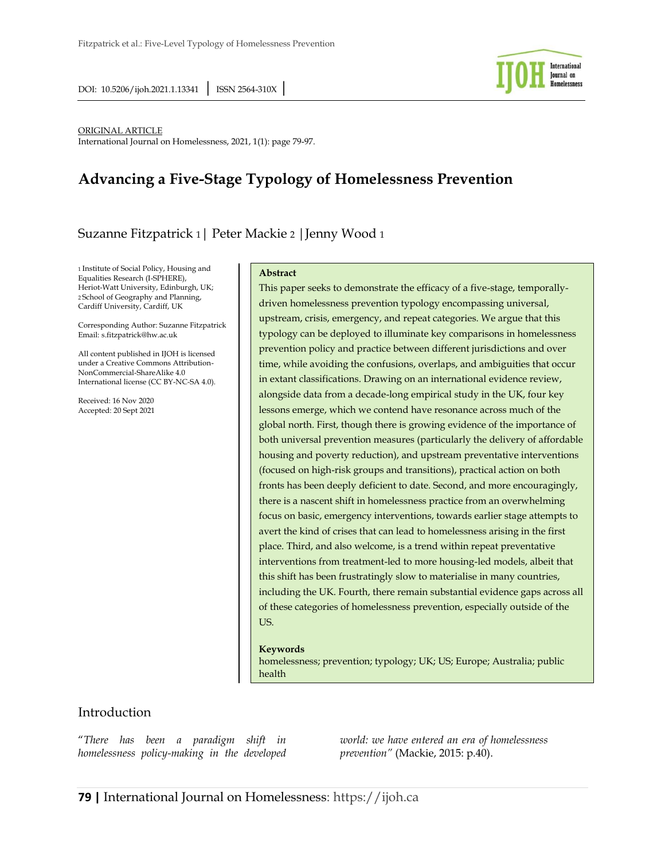

#### ORIGINAL ARTICLE

International Journal on Homelessness, 2021, 1(1): page 79-97.

# **Advancing a Five-Stage Typology of Homelessness Prevention**

# Suzanne Fitzpatrick 1| Peter Mackie 2 |Jenny Wood 1

1 Institute of Social Policy, Housing and Equalities Research (I-SPHERE), Heriot-Watt University, Edinburgh, UK; 2 School of Geography and Planning, Cardiff University, Cardiff, UK

Corresponding Author: Suzanne Fitzpatrick Email: s.fitzpatrick@hw.ac.uk

All content published in IJOH is licensed under a Creative Commons Attribution-NonCommercial-ShareAlike 4.0 International license (CC BY-NC-SA 4.0).

Received: 16 Nov 2020 Accepted: 20 Sept 2021

#### **Abstract**

This paper seeks to demonstrate the efficacy of a five-stage, temporallydriven homelessness prevention typology encompassing universal, upstream, crisis, emergency, and repeat categories. We argue that this typology can be deployed to illuminate key comparisons in homelessness prevention policy and practice between different jurisdictions and over time, while avoiding the confusions, overlaps, and ambiguities that occur in extant classifications. Drawing on an international evidence review, alongside data from a decade-long empirical study in the UK, four key lessons emerge, which we contend have resonance across much of the global north. First, though there is growing evidence of the importance of both universal prevention measures (particularly the delivery of affordable housing and poverty reduction), and upstream preventative interventions (focused on high-risk groups and transitions), practical action on both fronts has been deeply deficient to date. Second, and more encouragingly, there is a nascent shift in homelessness practice from an overwhelming focus on basic, emergency interventions, towards earlier stage attempts to avert the kind of crises that can lead to homelessness arising in the first place. Third, and also welcome, is a trend within repeat preventative interventions from treatment-led to more housing-led models, albeit that this shift has been frustratingly slow to materialise in many countries, including the UK. Fourth, there remain substantial evidence gaps across all of these categories of homelessness prevention, especially outside of the US.

#### **Keywords**

homelessness; prevention; typology; UK; US; Europe; Australia; public health

### Introduction

"*There has been a paradigm shift in homelessness policy-making in the developed*  *world: we have entered an era of homelessness prevention"* (Mackie, 2015: p.40).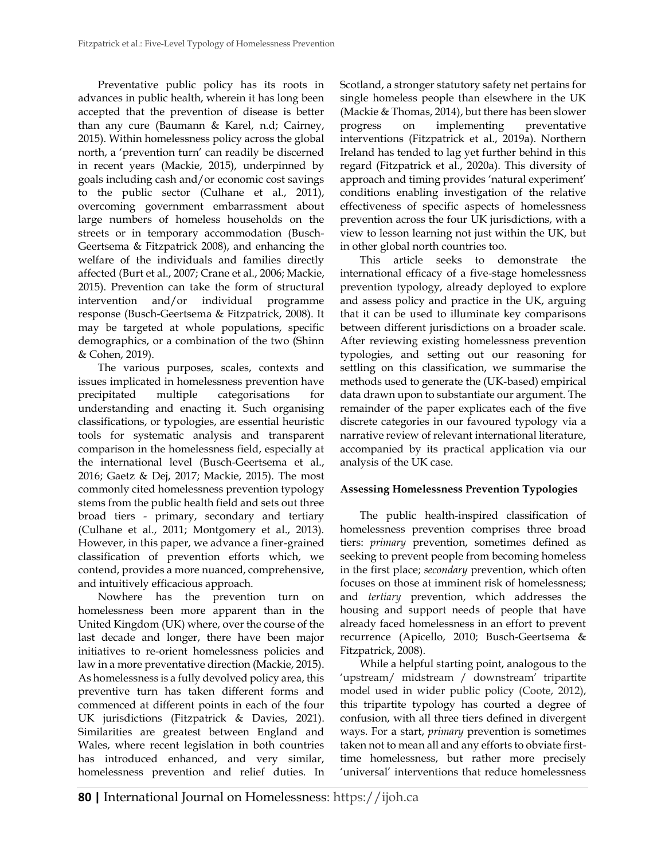Preventative public policy has its roots in advances in public health, wherein it has long been accepted that the prevention of disease is better than any cure (Baumann & Karel, n.d; Cairney, 2015). Within homelessness policy across the global north, a 'prevention turn' can readily be discerned in recent years (Mackie, 2015), underpinned by goals including cash and/or economic cost savings to the public sector (Culhane et al., 2011), overcoming government embarrassment about large numbers of homeless households on the streets or in temporary accommodation (Busch-Geertsema & Fitzpatrick 2008), and enhancing the welfare of the individuals and families directly affected (Burt et al., 2007; Crane et al., 2006; Mackie, 2015). Prevention can take the form of structural intervention and/or individual programme response (Busch-Geertsema & Fitzpatrick, 2008). It may be targeted at whole populations, specific demographics, or a combination of the two (Shinn & Cohen, 2019).

The various purposes, scales, contexts and issues implicated in homelessness prevention have precipitated multiple categorisations for understanding and enacting it. Such organising classifications, or typologies, are essential heuristic tools for systematic analysis and transparent comparison in the homelessness field, especially at the international level (Busch-Geertsema et al., 2016; Gaetz & Dej, 2017; Mackie, 2015). The most commonly cited homelessness prevention typology stems from the public health field and sets out three broad tiers - primary, secondary and tertiary (Culhane et al., 2011; Montgomery et al., 2013). However, in this paper, we advance a finer-grained classification of prevention efforts which, we contend, provides a more nuanced, comprehensive, and intuitively efficacious approach.

Nowhere has the prevention turn on homelessness been more apparent than in the United Kingdom (UK) where, over the course of the last decade and longer, there have been major initiatives to re-orient homelessness policies and law in a more preventative direction (Mackie, 2015). As homelessness is a fully devolved policy area, this preventive turn has taken different forms and commenced at different points in each of the four UK jurisdictions (Fitzpatrick & Davies, 2021). Similarities are greatest between England and Wales, where recent legislation in both countries has introduced enhanced, and very similar, homelessness prevention and relief duties. In

Scotland, a stronger statutory safety net pertains for single homeless people than elsewhere in the UK (Mackie & Thomas, 2014), but there has been slower progress on implementing preventative interventions (Fitzpatrick et al., 2019a). Northern Ireland has tended to lag yet further behind in this regard (Fitzpatrick et al., 2020a). This diversity of approach and timing provides 'natural experiment' conditions enabling investigation of the relative effectiveness of specific aspects of homelessness prevention across the four UK jurisdictions, with a view to lesson learning not just within the UK, but in other global north countries too.

This article seeks to demonstrate the international efficacy of a five-stage homelessness prevention typology, already deployed to explore and assess policy and practice in the UK, arguing that it can be used to illuminate key comparisons between different jurisdictions on a broader scale. After reviewing existing homelessness prevention typologies, and setting out our reasoning for settling on this classification, we summarise the methods used to generate the (UK-based) empirical data drawn upon to substantiate our argument. The remainder of the paper explicates each of the five discrete categories in our favoured typology via a narrative review of relevant international literature, accompanied by its practical application via our analysis of the UK case.

### **Assessing Homelessness Prevention Typologies**

The public health-inspired classification of homelessness prevention comprises three broad tiers: *primary* prevention, sometimes defined as seeking to prevent people from becoming homeless in the first place; *secondary* prevention, which often focuses on those at imminent risk of homelessness; and *tertiary* prevention, which addresses the housing and support needs of people that have already faced homelessness in an effort to prevent recurrence (Apicello, 2010; Busch-Geertsema & Fitzpatrick, 2008).

While a helpful starting point, analogous to the 'upstream/ midstream / downstream' tripartite model used in wider public policy (Coote, 2012), this tripartite typology has courted a degree of confusion, with all three tiers defined in divergent ways. For a start, *primary* prevention is sometimes taken not to mean all and any efforts to obviate firsttime homelessness, but rather more precisely 'universal' interventions that reduce homelessness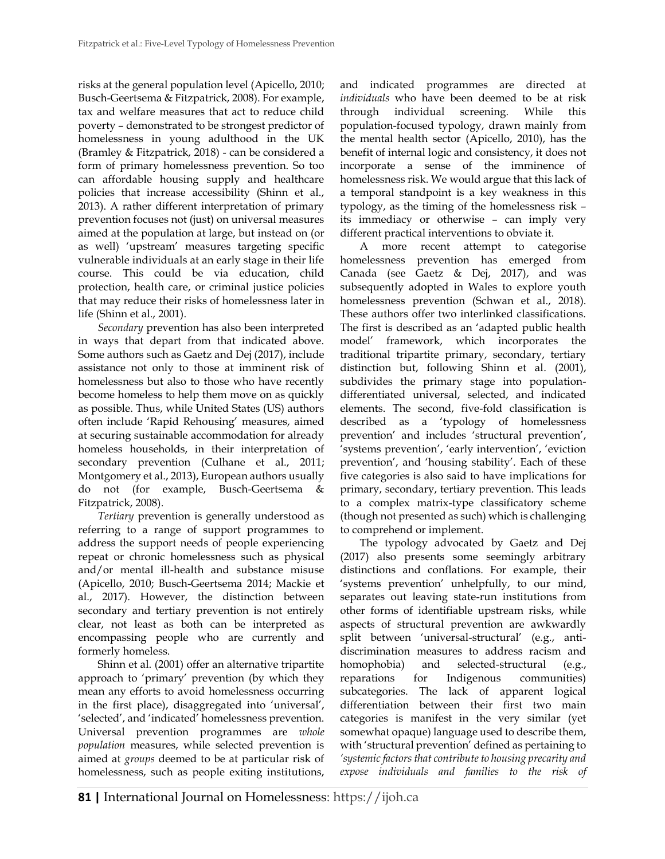risks at the general population level (Apicello, 2010; Busch-Geertsema & Fitzpatrick, 2008). For example, tax and welfare measures that act to reduce child poverty – demonstrated to be strongest predictor of homelessness in young adulthood in the UK (Bramley & Fitzpatrick, 2018) - can be considered a form of primary homelessness prevention. So too can affordable housing supply and healthcare policies that increase accessibility (Shinn et al., 2013). A rather different interpretation of primary prevention focuses not (just) on universal measures aimed at the population at large, but instead on (or as well) 'upstream' measures targeting specific vulnerable individuals at an early stage in their life course. This could be via education, child protection, health care, or criminal justice policies that may reduce their risks of homelessness later in life (Shinn et al., 2001).

*Secondary* prevention has also been interpreted in ways that depart from that indicated above. Some authors such as Gaetz and Dej (2017), include assistance not only to those at imminent risk of homelessness but also to those who have recently become homeless to help them move on as quickly as possible. Thus, while United States (US) authors often include 'Rapid Rehousing' measures, aimed at securing sustainable accommodation for already homeless households, in their interpretation of secondary prevention (Culhane et al., 2011; Montgomery et al., 2013), European authors usually do not (for example, Busch-Geertsema & Fitzpatrick, 2008).

*Tertiary* prevention is generally understood as referring to a range of support programmes to address the support needs of people experiencing repeat or chronic homelessness such as physical and/or mental ill-health and substance misuse (Apicello, 2010; Busch-Geertsema 2014; Mackie et al., 2017). However, the distinction between secondary and tertiary prevention is not entirely clear, not least as both can be interpreted as encompassing people who are currently and formerly homeless.

Shinn et al. (2001) offer an alternative tripartite approach to 'primary' prevention (by which they mean any efforts to avoid homelessness occurring in the first place), disaggregated into 'universal', 'selected', and 'indicated' homelessness prevention. Universal prevention programmes are *whole population* measures, while selected prevention is aimed at *groups* deemed to be at particular risk of homelessness, such as people exiting institutions, and indicated programmes are directed at *individuals* who have been deemed to be at risk through individual screening. While this population-focused typology, drawn mainly from the mental health sector (Apicello, 2010), has the benefit of internal logic and consistency, it does not incorporate a sense of the imminence of homelessness risk. We would argue that this lack of a temporal standpoint is a key weakness in this typology, as the timing of the homelessness risk – its immediacy or otherwise – can imply very different practical interventions to obviate it.

A more recent attempt to categorise homelessness prevention has emerged from Canada (see Gaetz & Dej, 2017), and was subsequently adopted in Wales to explore youth homelessness prevention (Schwan et al., 2018). These authors offer two interlinked classifications. The first is described as an 'adapted public health model' framework, which incorporates the traditional tripartite primary, secondary, tertiary distinction but, following Shinn et al. (2001), subdivides the primary stage into populationdifferentiated universal, selected, and indicated elements. The second, five-fold classification is described as a 'typology of homelessness prevention' and includes 'structural prevention', 'systems prevention', 'early intervention', 'eviction prevention', and 'housing stability'. Each of these five categories is also said to have implications for primary, secondary, tertiary prevention. This leads to a complex matrix-type classificatory scheme (though not presented as such) which is challenging to comprehend or implement.

The typology advocated by Gaetz and Dej (2017) also presents some seemingly arbitrary distinctions and conflations. For example, their 'systems prevention' unhelpfully, to our mind, separates out leaving state-run institutions from other forms of identifiable upstream risks, while aspects of structural prevention are awkwardly split between 'universal-structural' (e.g., antidiscrimination measures to address racism and homophobia) and selected-structural (e.g., reparations for Indigenous communities) subcategories. The lack of apparent logical differentiation between their first two main categories is manifest in the very similar (yet somewhat opaque) language used to describe them, with 'structural prevention' defined as pertaining to *'systemic factors that contribute to housing precarity and expose individuals and families to the risk of*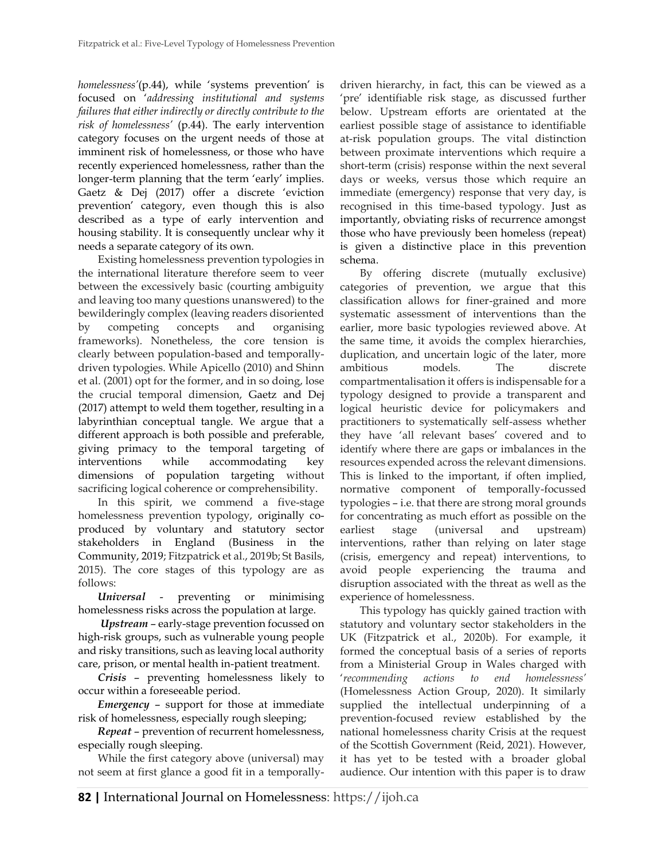*homelessness'*(p.44), while 'systems prevention' is focused on '*addressing institutional and systems failures that either indirectly or directly contribute to the risk of homelessness'* (p.44). The early intervention category focuses on the urgent needs of those at imminent risk of homelessness, or those who have recently experienced homelessness, rather than the longer-term planning that the term 'early' implies. Gaetz & Dej (2017) offer a discrete 'eviction prevention' category, even though this is also described as a type of early intervention and housing stability. It is consequently unclear why it needs a separate category of its own.

Existing homelessness prevention typologies in the international literature therefore seem to veer between the excessively basic (courting ambiguity and leaving too many questions unanswered) to the bewilderingly complex (leaving readers disoriented by competing concepts and organising frameworks). Nonetheless, the core tension is clearly between population-based and temporallydriven typologies. While Apicello (2010) and Shinn et al. (2001) opt for the former, and in so doing, lose the crucial temporal dimension, Gaetz and Dej (2017) attempt to weld them together, resulting in a labyrinthian conceptual tangle. We argue that a different approach is both possible and preferable, giving primacy to the temporal targeting of interventions while accommodating key dimensions of population targeting without sacrificing logical coherence or comprehensibility.

In this spirit, we commend a five-stage homelessness prevention typology, originally coproduced by voluntary and statutory sector stakeholders in England (Business in the Community, 2019; Fitzpatrick et al., 2019b; St Basils, 2015). The core stages of this typology are as follows:

*Universal* - preventing or minimising homelessness risks across the population at large.

*Upstream* – early-stage prevention focussed on high-risk groups, such as vulnerable young people and risky transitions, such as leaving local authority care, prison, or mental health in-patient treatment.

*Crisis* – preventing homelessness likely to occur within a foreseeable period.

*Emergency* – support for those at immediate risk of homelessness, especially rough sleeping;

*Repeat* – prevention of recurrent homelessness, especially rough sleeping.

While the first category above (universal) may not seem at first glance a good fit in a temporally-

driven hierarchy, in fact, this can be viewed as a 'pre' identifiable risk stage, as discussed further below. Upstream efforts are orientated at the earliest possible stage of assistance to identifiable at-risk population groups. The vital distinction between proximate interventions which require a short-term (crisis) response within the next several days or weeks, versus those which require an immediate (emergency) response that very day, is recognised in this time-based typology. Just as importantly, obviating risks of recurrence amongst those who have previously been homeless (repeat) is given a distinctive place in this prevention schema.

By offering discrete (mutually exclusive) categories of prevention, we argue that this classification allows for finer-grained and more systematic assessment of interventions than the earlier, more basic typologies reviewed above. At the same time, it avoids the complex hierarchies, duplication, and uncertain logic of the later, more ambitious models. The discrete compartmentalisation it offers is indispensable for a typology designed to provide a transparent and logical heuristic device for policymakers and practitioners to systematically self-assess whether they have 'all relevant bases' covered and to identify where there are gaps or imbalances in the resources expended across the relevant dimensions. This is linked to the important, if often implied, normative component of temporally-focussed typologies – i.e. that there are strong moral grounds for concentrating as much effort as possible on the earliest stage (universal and upstream) interventions, rather than relying on later stage (crisis, emergency and repeat) interventions, to avoid people experiencing the trauma and disruption associated with the threat as well as the experience of homelessness.

This typology has quickly gained traction with statutory and voluntary sector stakeholders in the UK (Fitzpatrick et al., 2020b). For example, it formed the conceptual basis of a series of reports from a Ministerial Group in Wales charged with '*recommending actions to end homelessness'* (Homelessness Action Group, 2020). It similarly supplied the intellectual underpinning of a prevention-focused review established by the national homelessness charity Crisis at the request of the Scottish Government (Reid, 2021). However, it has yet to be tested with a broader global audience. Our intention with this paper is to draw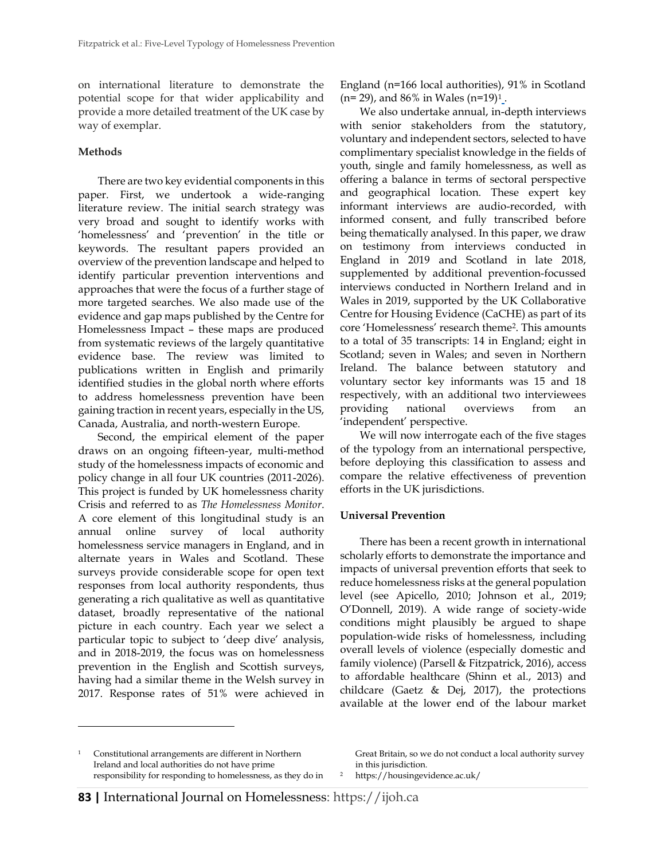on international literature to demonstrate the potential scope for that wider applicability and provide a more detailed treatment of the UK case by way of exemplar.

### **Methods**

There are two key evidential components in this paper. First, we undertook a wide-ranging literature review. The initial search strategy was very broad and sought to identify works with 'homelessness' and 'prevention' in the title or keywords. The resultant papers provided an overview of the prevention landscape and helped to identify particular prevention interventions and approaches that were the focus of a further stage of more targeted searches. We also made use of the evidence and gap maps published by the Centre for Homelessness Impact – these maps are produced from systematic reviews of the largely quantitative evidence base. The review was limited to publications written in English and primarily identified studies in the global north where efforts to address homelessness prevention have been gaining traction in recent years, especially in the US, Canada, Australia, and north-western Europe.

Second, the empirical element of the paper draws on an ongoing fifteen-year, multi-method study of the homelessness impacts of economic and policy change in all four UK countries (2011-2026). This project is funded by UK homelessness charity Crisis and referred to as *The Homelessness Monitor*. A core element of this longitudinal study is an annual online survey of local authority homelessness service managers in England, and in alternate years in Wales and Scotland. These surveys provide considerable scope for open text responses from local authority respondents, thus generating a rich qualitative as well as quantitative dataset, broadly representative of the national picture in each country. Each year we select a particular topic to subject to 'deep dive' analysis, and in 2018-2019, the focus was on homelessness prevention in the English and Scottish surveys, having had a similar theme in the Welsh survey in 2017. Response rates of 51% were achieved in England (n=166 local authorities), 91% in Scotland  $(n= 29)$ , and 86% in Wales  $(n=19)^1$ .

We also undertake annual, in-depth interviews with senior stakeholders from the statutory, voluntary and independent sectors, selected to have complimentary specialist knowledge in the fields of youth, single and family homelessness, as well as offering a balance in terms of sectoral perspective and geographical location. These expert key informant interviews are audio-recorded, with informed consent, and fully transcribed before being thematically analysed. In this paper, we draw on testimony from interviews conducted in England in 2019 and Scotland in late 2018, supplemented by additional prevention-focussed interviews conducted in Northern Ireland and in Wales in 2019, supported by the UK Collaborative Centre for Housing Evidence (CaCHE) as part of its core 'Homelessness' research theme<sup>2</sup> . This amounts to a total of 35 transcripts: 14 in England; eight in Scotland; seven in Wales; and seven in Northern Ireland. The balance between statutory and voluntary sector key informants was 15 and 18 respectively, with an additional two interviewees providing national overviews from an 'independent' perspective.

We will now interrogate each of the five stages of the typology from an international perspective, before deploying this classification to assess and compare the relative effectiveness of prevention efforts in the UK jurisdictions.

### **Universal Prevention**

There has been a recent growth in international scholarly efforts to demonstrate the importance and impacts of universal prevention efforts that seek to reduce homelessness risks at the general population level (see Apicello, 2010; Johnson et al., 2019; O'Donnell, 2019). A wide range of society-wide conditions might plausibly be argued to shape population-wide risks of homelessness, including overall levels of violence (especially domestic and family violence) (Parsell & Fitzpatrick, 2016), access to affordable healthcare (Shinn et al., 2013) and childcare (Gaetz & Dej, 2017), the protections available at the lower end of the labour market

Great Britain, so we do not conduct a local authority survey in this jurisdiction.

<sup>2</sup> <https://housingevidence.ac.uk/>

<sup>1</sup> Constitutional arrangements are different in Northern Ireland and local authorities do not have prime responsibility for responding to homelessness, as they do in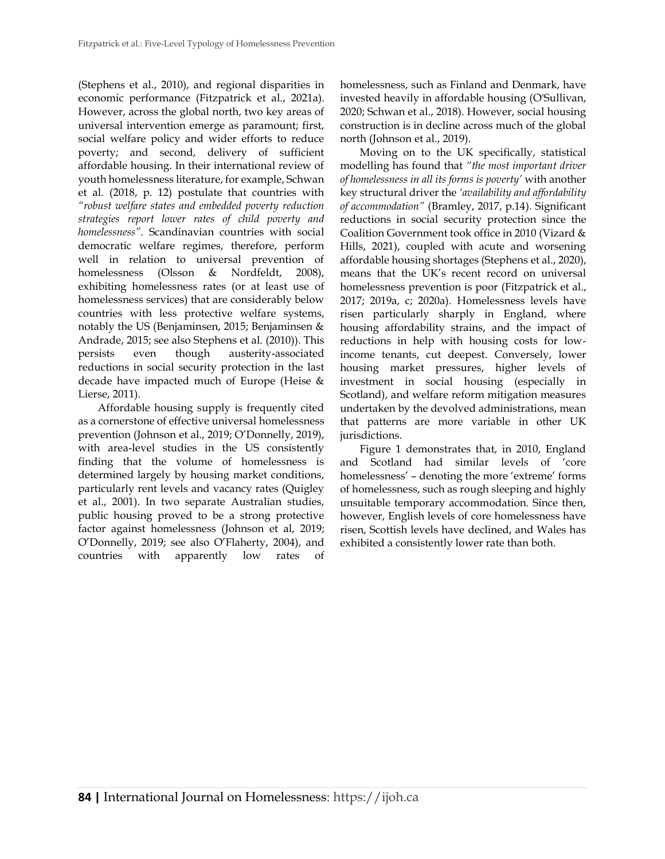(Stephens et al., 2010), and regional disparities in economic performance (Fitzpatrick et al., 2021a). However, across the global north, two key areas of universal intervention emerge as paramount; first, social welfare policy and wider efforts to reduce poverty; and second, delivery of sufficient affordable housing. In their international review of youth homelessness literature, for example, Schwan et al. (2018, p. 12) postulate that countries with *"robust welfare states and embedded poverty reduction strategies report lower rates of child poverty and homelessness".* Scandinavian countries with social democratic welfare regimes, therefore, perform well in relation to universal prevention of homelessness (Olsson & Nordfeldt, 2008), exhibiting homelessness rates (or at least use of homelessness services) that are considerably below countries with less protective welfare systems, notably the US (Benjaminsen, 2015; Benjaminsen & Andrade, 2015; see also Stephens et al. (2010)). This persists even though austerity-associated reductions in social security protection in the last decade have impacted much of Europe (Heise & Lierse, 2011).

Affordable housing supply is frequently cited as a cornerstone of effective universal homelessness prevention (Johnson et al., 2019; O'Donnelly, 2019), with area-level studies in the US consistently finding that the volume of homelessness is determined largely by housing market conditions, particularly rent levels and vacancy rates (Quigley et al., 2001). In two separate Australian studies, public housing proved to be a strong protective factor against homelessness (Johnson et al, 2019; O'Donnelly, 2019; see also O'Flaherty, 2004), and countries with apparently low rates of homelessness, such as Finland and Denmark, have invested heavily in affordable housing (O'Sullivan, 2020; Schwan et al., 2018). However, social housing construction is in decline across much of the global north (Johnson et al., 2019).

Moving on to the UK specifically, statistical modelling has found that *"the most important driver of homelessness in all its forms is poverty'* with another key structural driver the *'availability and affordability of accommodation"* (Bramley, 2017, p.14). Significant reductions in social security protection since the Coalition Government took office in 2010 (Vizard & Hills, 2021), coupled with acute and worsening affordable housing shortages (Stephens et al., 2020), means that the UK's recent record on universal homelessness prevention is poor (Fitzpatrick et al., 2017; 2019a, c; 2020a). Homelessness levels have risen particularly sharply in England, where housing affordability strains, and the impact of reductions in help with housing costs for lowincome tenants, cut deepest. Conversely, lower housing market pressures, higher levels of investment in social housing (especially in Scotland), and welfare reform mitigation measures undertaken by the devolved administrations, mean that patterns are more variable in other UK jurisdictions.

Figure 1 demonstrates that, in 2010, England and Scotland had similar levels of 'core homelessness' – denoting the more 'extreme' forms of homelessness, such as rough sleeping and highly unsuitable temporary accommodation. Since then, however, English levels of core homelessness have risen, Scottish levels have declined, and Wales has exhibited a consistently lower rate than both.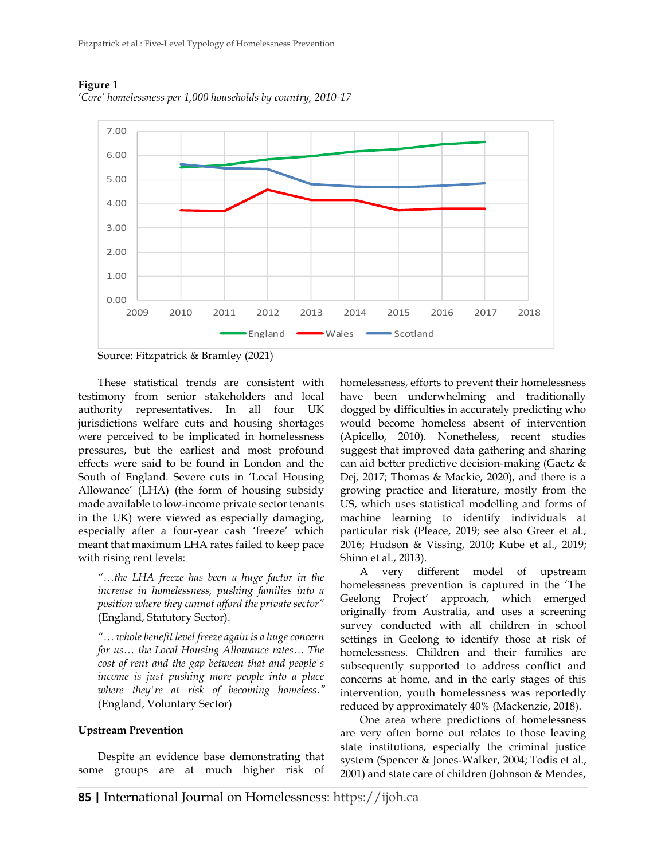

#### **Figure 1**

*'Core' homelessness per 1,000 households by country, 2010-17*

Source: Fitzpatrick & Bramley (2021)

These statistical trends are consistent with testimony from senior stakeholders and local authority representatives. In all four UK jurisdictions welfare cuts and housing shortages were perceived to be implicated in homelessness pressures, but the earliest and most profound effects were said to be found in London and the South of England. Severe cuts in 'Local Housing Allowance' (LHA) (the form of housing subsidy made available to low-income private sector tenants in the UK) were viewed as especially damaging, especially after a four-year cash 'freeze' which meant that maximum LHA rates failed to keep pace with rising rent levels:

*"…the LHA freeze has been a huge factor in the increase in homelessness, pushing families into a position where they cannot afford the private sector"*  (England, Statutory Sector).

*"… whole benefit level freeze again is a huge concern for us… the Local Housing Allowance rates… The cost of rent and the gap between that and people's income is just pushing more people into a place where they're at risk of becoming homeless."*  (England, Voluntary Sector)

#### **Upstream Prevention**

Despite an evidence base demonstrating that some groups are at much higher risk of homelessness, efforts to prevent their homelessness have been underwhelming and traditionally dogged by difficulties in accurately predicting who would become homeless absent of intervention (Apicello, 2010). Nonetheless, recent studies suggest that improved data gathering and sharing can aid better predictive decision-making (Gaetz & Dej, 2017; Thomas & Mackie, 2020), and there is a growing practice and literature, mostly from the US, which uses statistical modelling and forms of machine learning to identify individuals at particular risk (Pleace, 2019; see also Greer et al., 2016; Hudson & Vissing, 2010; Kube et al., 2019; Shinn et al., 2013).

A very different model of upstream homelessness prevention is captured in the 'The Geelong Project' approach, which emerged originally from Australia, and uses a screening survey conducted with all children in school settings in Geelong to identify those at risk of homelessness. Children and their families are subsequently supported to address conflict and concerns at home, and in the early stages of this intervention, youth homelessness was reportedly reduced by approximately 40% (Mackenzie, 2018).

One area where predictions of homelessness are very often borne out relates to those leaving state institutions, especially the criminal justice system (Spencer & Jones-Walker, 2004; Todis et al., 2001) and state care of children (Johnson & Mendes,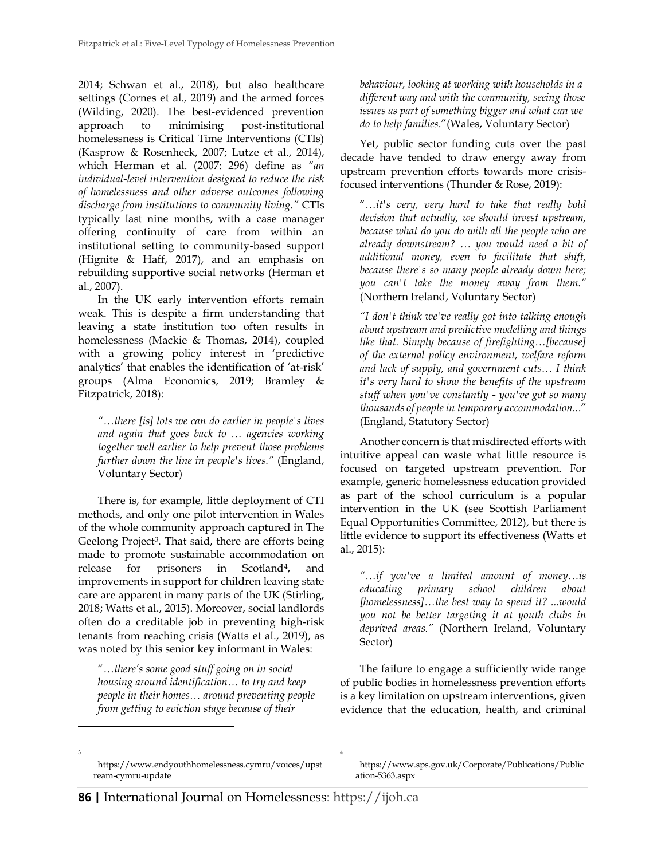2014; Schwan et al., 2018), but also healthcare settings (Cornes et al.*,* 2019) and the armed forces (Wilding, 2020). The best-evidenced prevention approach to minimising post-institutional homelessness is Critical Time Interventions (CTIs) (Kasprow & Rosenheck, 2007; Lutze et al., 2014), which Herman et al. (2007: 296) define as *"an individual-level intervention designed to reduce the risk of homelessness and other adverse outcomes following discharge from institutions to community living."* CTIs typically last nine months, with a case manager offering continuity of care from within an institutional setting to community-based support (Hignite & Haff, 2017), and an emphasis on rebuilding supportive social networks (Herman et al., 2007).

In the UK early intervention efforts remain weak. This is despite a firm understanding that leaving a state institution too often results in homelessness (Mackie & Thomas, 2014), coupled with a growing policy interest in 'predictive analytics' that enables the identification of 'at-risk' groups (Alma Economics, 2019; Bramley & Fitzpatrick, 2018):

*"…there [is] lots we can do earlier in people's lives and again that goes back to … agencies working together well earlier to help prevent those problems further down the line in people's lives."* (England, Voluntary Sector)

There is, for example, little deployment of CTI methods, and only one pilot intervention in Wales of the whole community approach captured in The Geelong Project<sup>3</sup>. That said, there are efforts being made to promote sustainable accommodation on release for prisoners in Scotland<sup>4</sup>, , and improvements in support for children leaving state care are apparent in many parts of the UK (Stirling, 2018; Watts et al., 2015). Moreover, social landlords often do a creditable job in preventing high-risk tenants from reaching crisis (Watts et al., 2019), as was noted by this senior key informant in Wales:

"…*there's some good stuff going on in social housing around identification… to try and keep people in their homes… around preventing people from getting to eviction stage because of their* 

*behaviour, looking at working with households in a different way and with the community, seeing those issues as part of something bigger and what can we do to help families*."(Wales, Voluntary Sector)

Yet, public sector funding cuts over the past decade have tended to draw energy away from upstream prevention efforts towards more crisisfocused interventions (Thunder & Rose, 2019):

"*…it's very, very hard to take that really bold decision that actually, we should invest upstream, because what do you do with all the people who are already downstream? … you would need a bit of additional money, even to facilitate that shift, because there's so many people already down here; you can't take the money away from them."*  (Northern Ireland, Voluntary Sector)

*"I don't think we've really got into talking enough about upstream and predictive modelling and things like that. Simply because of firefighting…[because] of the external policy environment, welfare reform and lack of supply, and government cuts… I think it's very hard to show the benefits of the upstream stuff when you've constantly - you've got so many thousands of people in temporary accommodation..*." (England, Statutory Sector)

Another concern is that misdirected efforts with intuitive appeal can waste what little resource is focused on targeted upstream prevention. For example, generic homelessness education provided as part of the school curriculum is a popular intervention in the UK (see Scottish Parliament Equal Opportunities Committee, 2012), but there is little evidence to support its effectiveness (Watts et al., 2015):

*"…if you've a limited amount of money…is educating primary school children about [homelessness]…the best way to spend it? ...would you not be better targeting it at youth clubs in deprived areas."* (Northern Ireland, Voluntary Sector)

The failure to engage a sufficiently wide range of public bodies in homelessness prevention efforts is a key limitation on upstream interventions, given evidence that the education, health, and criminal

3

[https://www.sps.gov.uk/Corporate/Publications/Public](https://www.sps.gov.uk/Corporate/Publications/Publication-5363.aspx) [ation-5363.aspx](https://www.sps.gov.uk/Corporate/Publications/Publication-5363.aspx)

4

https://www.endyouthhomelessness.cymru/voices/upst ream-cymru-update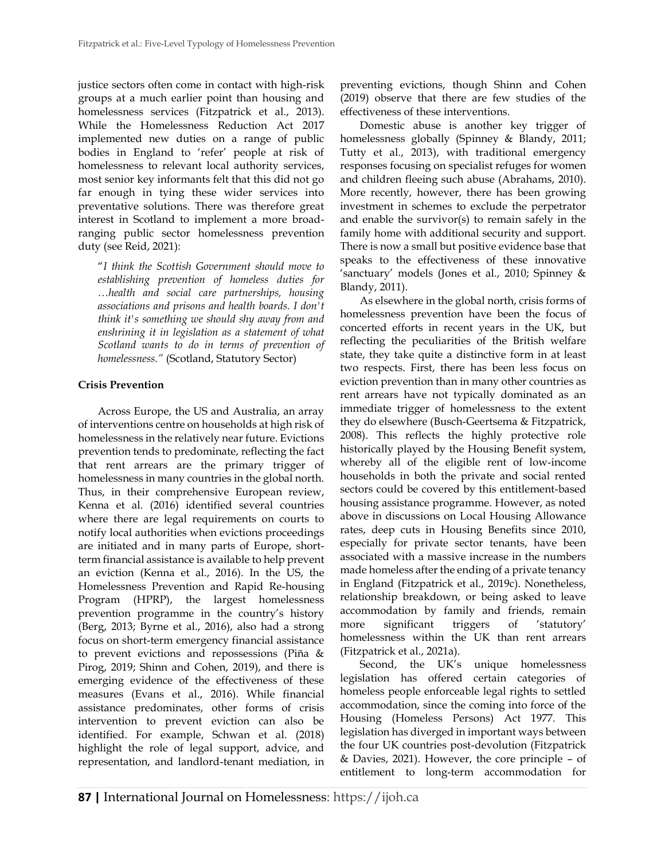justice sectors often come in contact with high-risk groups at a much earlier point than housing and homelessness services (Fitzpatrick et al., 2013). While the Homelessness Reduction Act 2017 implemented new duties on a range of public bodies in England to 'refer' people at risk of homelessness to relevant local authority services, most senior key informants felt that this did not go far enough in tying these wider services into preventative solutions. There was therefore great interest in Scotland to implement a more broadranging public sector homelessness prevention duty (see Reid, 2021):

"*I think the Scottish Government should move to establishing prevention of homeless duties for …health and social care partnerships, housing associations and prisons and health boards. I don't think it's something we should shy away from and enshrining it in legislation as a statement of what Scotland wants to do in terms of prevention of homelessness."* (Scotland, Statutory Sector)

#### **Crisis Prevention**

Across Europe, the US and Australia, an array of interventions centre on households at high risk of homelessness in the relatively near future. Evictions prevention tends to predominate, reflecting the fact that rent arrears are the primary trigger of homelessness in many countries in the global north. Thus, in their comprehensive European review, Kenna et al. (2016) identified several countries where there are legal requirements on courts to notify local authorities when evictions proceedings are initiated and in many parts of Europe, shortterm financial assistance is available to help prevent an eviction (Kenna et al., 2016). In the US, the Homelessness Prevention and Rapid Re-housing Program (HPRP), the largest homelessness prevention programme in the country's history (Berg, 2013; Byrne et al., 2016), also had a strong focus on short-term emergency financial assistance to prevent evictions and repossessions (Piña & Pirog, 2019; Shinn and Cohen, 2019), and there is emerging evidence of the effectiveness of these measures (Evans et al., 2016). While financial assistance predominates, other forms of crisis intervention to prevent eviction can also be identified. For example, Schwan et al. (2018) highlight the role of legal support, advice, and representation, and landlord-tenant mediation, in preventing evictions, though Shinn and Cohen (2019) observe that there are few studies of the effectiveness of these interventions.

Domestic abuse is another key trigger of homelessness globally (Spinney & Blandy, 2011; Tutty et al., 2013), with traditional emergency responses focusing on specialist refuges for women and children fleeing such abuse (Abrahams, 2010). More recently, however, there has been growing investment in schemes to exclude the perpetrator and enable the survivor(s) to remain safely in the family home with additional security and support. There is now a small but positive evidence base that speaks to the effectiveness of these innovative 'sanctuary' models (Jones et al., 2010; Spinney & Blandy, 2011).

As elsewhere in the global north, crisis forms of homelessness prevention have been the focus of concerted efforts in recent years in the UK, but reflecting the peculiarities of the British welfare state, they take quite a distinctive form in at least two respects. First, there has been less focus on eviction prevention than in many other countries as rent arrears have not typically dominated as an immediate trigger of homelessness to the extent they do elsewhere (Busch-Geertsema & Fitzpatrick, 2008). This reflects the highly protective role historically played by the Housing Benefit system, whereby all of the eligible rent of low-income households in both the private and social rented sectors could be covered by this entitlement-based housing assistance programme. However, as noted above in discussions on Local Housing Allowance rates, deep cuts in Housing Benefits since 2010, especially for private sector tenants, have been associated with a massive increase in the numbers made homeless after the ending of a private tenancy in England (Fitzpatrick et al., 2019c). Nonetheless, relationship breakdown, or being asked to leave accommodation by family and friends, remain more significant triggers of 'statutory' homelessness within the UK than rent arrears (Fitzpatrick et al., 2021a).

Second, the UK's unique homelessness legislation has offered certain categories of homeless people enforceable legal rights to settled accommodation, since the coming into force of the Housing (Homeless Persons) Act 1977. This legislation has diverged in important ways between the four UK countries post-devolution (Fitzpatrick & Davies, 2021). However, the core principle – of entitlement to long-term accommodation for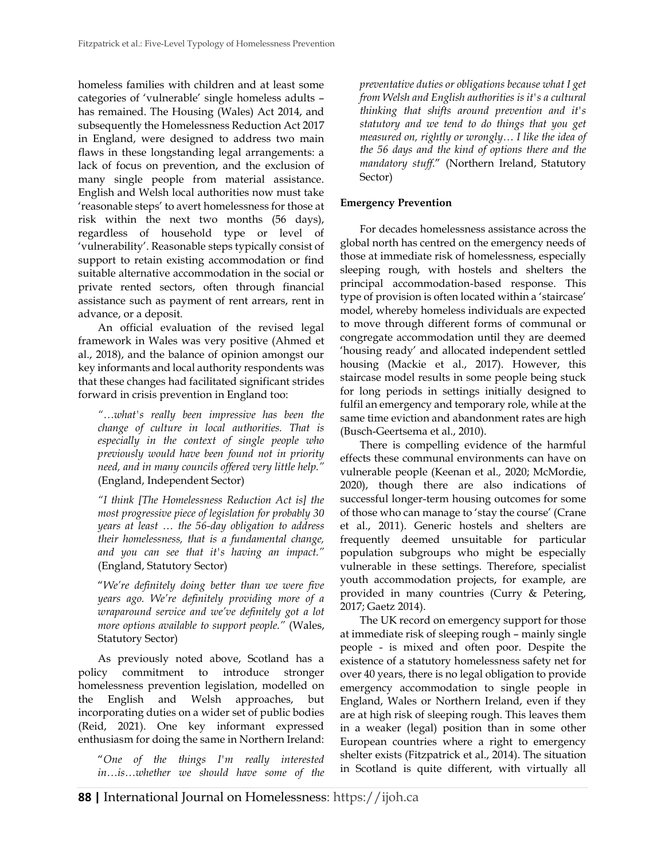homeless families with children and at least some categories of 'vulnerable' single homeless adults – has remained. The Housing (Wales) Act 2014, and subsequently the Homelessness Reduction Act 2017 in England, were designed to address two main flaws in these longstanding legal arrangements: a lack of focus on prevention, and the exclusion of many single people from material assistance. English and Welsh local authorities now must take 'reasonable steps' to avert homelessness for those at risk within the next two months (56 days), regardless of household type or level of 'vulnerability'. Reasonable steps typically consist of support to retain existing accommodation or find suitable alternative accommodation in the social or private rented sectors, often through financial assistance such as payment of rent arrears, rent in advance, or a deposit.

An official evaluation of the revised legal framework in Wales was very positive (Ahmed et al., 2018), and the balance of opinion amongst our key informants and local authority respondents was that these changes had facilitated significant strides forward in crisis prevention in England too:

*"…what's really been impressive has been the change of culture in local authorities. That is especially in the context of single people who previously would have been found not in priority need, and in many councils offered very little help."*  (England, Independent Sector)

*"I think [The Homelessness Reduction Act is] the most progressive piece of legislation for probably 30 years at least … the 56-day obligation to address their homelessness, that is a fundamental change, and you can see that it's having an impact."* (England, Statutory Sector)

"*We're definitely doing better than we were five years ago. We're definitely providing more of a wraparound service and we've definitely got a lot more options available to support people."* (Wales, Statutory Sector)

As previously noted above, Scotland has a policy commitment to introduce stronger homelessness prevention legislation, modelled on the English and Welsh approaches, but incorporating duties on a wider set of public bodies (Reid, 2021). One key informant expressed enthusiasm for doing the same in Northern Ireland:

"*One of the things I'm really interested in…is…whether we should have some of the*  *preventative duties or obligations because what I get from Welsh and English authorities is it's a cultural thinking that shifts around prevention and it's statutory and we tend to do things that you get measured on, rightly or wrongly… I like the idea of the 56 days and the kind of options there and the mandatory stuff*." (Northern Ireland, Statutory Sector)

### **Emergency Prevention**

For decades homelessness assistance across the global north has centred on the emergency needs of those at immediate risk of homelessness, especially sleeping rough, with hostels and shelters the principal accommodation-based response. This type of provision is often located within a 'staircase' model, whereby homeless individuals are expected to move through different forms of communal or congregate accommodation until they are deemed 'housing ready' and allocated independent settled housing (Mackie et al., 2017). However, this staircase model results in some people being stuck for long periods in settings initially designed to fulfil an emergency and temporary role, while at the same time eviction and abandonment rates are high (Busch-Geertsema et al., 2010).

There is compelling evidence of the harmful effects these communal environments can have on vulnerable people (Keenan et al.*,* 2020; McMordie, 2020), though there are also indications of successful longer-term housing outcomes for some of those who can manage to 'stay the course' (Crane et al., 2011). Generic hostels and shelters are frequently deemed unsuitable for particular population subgroups who might be especially vulnerable in these settings. Therefore, specialist youth accommodation projects, for example, are provided in many countries (Curry & Petering, 2017; Gaetz 2014).

The UK record on emergency support for those at immediate risk of sleeping rough – mainly single people - is mixed and often poor. Despite the existence of a statutory homelessness safety net for over 40 years, there is no legal obligation to provide emergency accommodation to single people in England, Wales or Northern Ireland, even if they are at high risk of sleeping rough. This leaves them in a weaker (legal) position than in some other European countries where a right to emergency shelter exists (Fitzpatrick et al., 2014). The situation in Scotland is quite different, with virtually all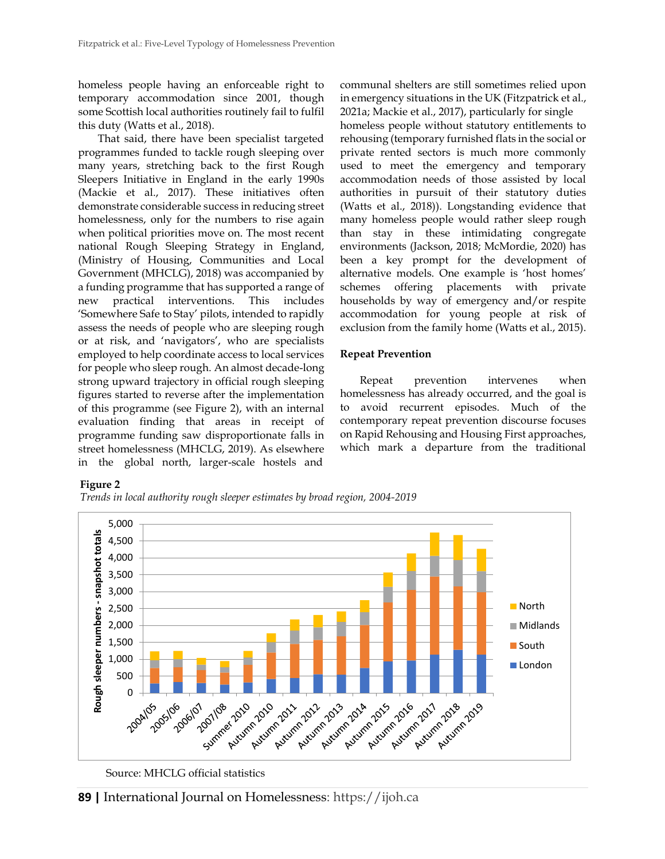homeless people having an enforceable right to temporary accommodation since 2001, though some Scottish local authorities routinely fail to fulfil this duty (Watts et al., 2018).

That said, there have been specialist targeted programmes funded to tackle rough sleeping over many years, stretching back to the first Rough Sleepers Initiative in England in the early 1990s (Mackie et al., 2017). These initiatives often demonstrate considerable success in reducing street homelessness, only for the numbers to rise again when political priorities move on. The most recent national Rough Sleeping Strategy in England, (Ministry of Housing, Communities and Local Government (MHCLG), 2018) was accompanied by a funding programme that has supported a range of new practical interventions. This includes 'Somewhere Safe to Stay' pilots, intended to rapidly assess the needs of people who are sleeping rough or at risk, and 'navigators', who are specialists employed to help coordinate access to local services for people who sleep rough. An almost decade-long strong upward trajectory in official rough sleeping figures started to reverse after the implementation of this programme (see Figure 2), with an internal evaluation finding that areas in receipt of programme funding saw disproportionate falls in street homelessness (MHCLG, 2019). As elsewhere in the global north, larger-scale hostels and

communal shelters are still sometimes relied upon in emergency situations in the UK (Fitzpatrick et al., 2021a; Mackie et al., 2017), particularly for single homeless people without statutory entitlements to rehousing (temporary furnished flats in the social or private rented sectors is much more commonly used to meet the emergency and temporary accommodation needs of those assisted by local authorities in pursuit of their statutory duties (Watts et al., 2018)). Longstanding evidence that many homeless people would rather sleep rough than stay in these intimidating congregate environments (Jackson, 2018; McMordie, 2020) has been a key prompt for the development of alternative models. One example is 'host homes' schemes offering placements with private households by way of emergency and/or respite accommodation for young people at risk of exclusion from the family home (Watts et al., 2015).

### **Repeat Prevention**

Repeat prevention intervenes when homelessness has already occurred, and the goal is to avoid recurrent episodes. Much of the contemporary repeat prevention discourse focuses on Rapid Rehousing and Housing First approaches, which mark a departure from the traditional

### **Figure 2**

*Trends in local authority rough sleeper estimates by broad region, 2004-2019*



Source: MHCLG official statistics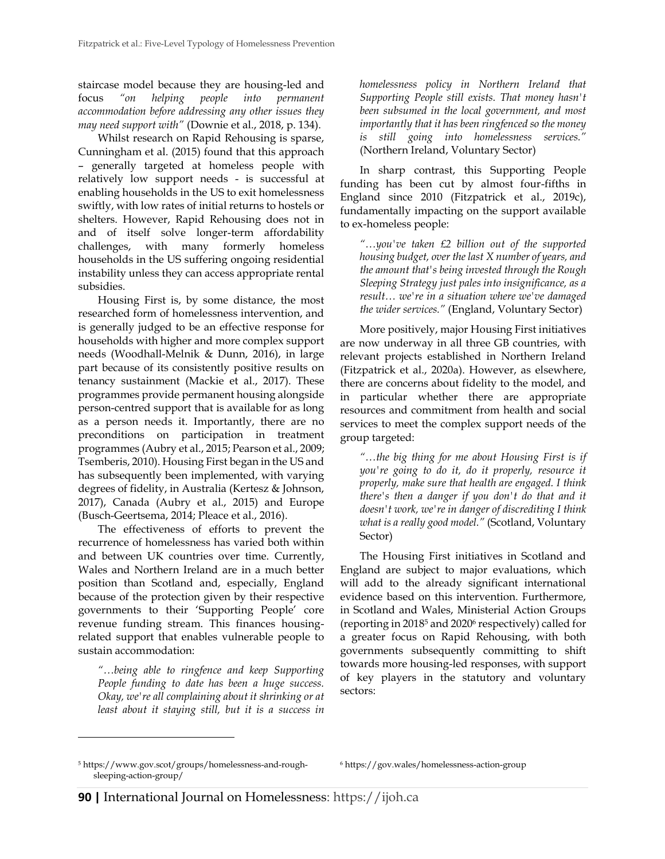staircase model because they are housing-led and focus *"on helping people into permanent accommodation before addressing any other issues they may need support with"* (Downie et al., 2018, p. 134).

Whilst research on Rapid Rehousing is sparse, Cunningham et al. (2015) found that this approach – generally targeted at homeless people with relatively low support needs - is successful at enabling households in the US to exit homelessness swiftly, with low rates of initial returns to hostels or shelters. However, Rapid Rehousing does not in and of itself solve longer-term affordability challenges, with many formerly homeless households in the US suffering ongoing residential instability unless they can access appropriate rental subsidies.

Housing First is, by some distance, the most researched form of homelessness intervention, and is generally judged to be an effective response for households with higher and more complex support needs (Woodhall-Melnik & Dunn, 2016), in large part because of its consistently positive results on tenancy sustainment (Mackie et al., 2017). These programmes provide permanent housing alongside person-centred support that is available for as long as a person needs it. Importantly, there are no preconditions on participation in treatment programmes (Aubry et al., 2015; Pearson et al., 2009; Tsemberis, 2010). Housing First began in the US and has subsequently been implemented, with varying degrees of fidelity, in Australia (Kertesz & Johnson, 2017), Canada (Aubry et al., 2015) and Europe (Busch-Geertsema, 2014; Pleace et al., 2016).

The effectiveness of efforts to prevent the recurrence of homelessness has varied both within and between UK countries over time. Currently, Wales and Northern Ireland are in a much better position than Scotland and, especially, England because of the protection given by their respective governments to their 'Supporting People' core revenue funding stream. This finances housingrelated support that enables vulnerable people to sustain accommodation:

*"…being able to ringfence and keep Supporting People funding to date has been a huge success. Okay, we're all complaining about it shrinking or at least about it staying still, but it is a success in* 

*homelessness policy in Northern Ireland that Supporting People still exists. That money hasn't been subsumed in the local government, and most importantly that it has been ringfenced so the money is still going into homelessness services."*  (Northern Ireland, Voluntary Sector)

In sharp contrast, this Supporting People funding has been cut by almost four-fifths in England since 2010 (Fitzpatrick et al., 2019c), fundamentally impacting on the support available to ex-homeless people:

*"…you've taken £2 billion out of the supported housing budget, over the last X number of years, and the amount that's being invested through the Rough Sleeping Strategy just pales into insignificance, as a result… we're in a situation where we've damaged the wider services."* (England, Voluntary Sector)

More positively, major Housing First initiatives are now underway in all three GB countries, with relevant projects established in Northern Ireland (Fitzpatrick et al., 2020a). However, as elsewhere, there are concerns about fidelity to the model, and in particular whether there are appropriate resources and commitment from health and social services to meet the complex support needs of the group targeted:

*"…the big thing for me about Housing First is if you're going to do it, do it properly, resource it properly, make sure that health are engaged. I think there's then a danger if you don't do that and it doesn't work, we're in danger of discrediting I think what is a really good model."* (Scotland, Voluntary Sector)

The Housing First initiatives in Scotland and England are subject to major evaluations, which will add to the already significant international evidence based on this intervention. Furthermore, in Scotland and Wales, Ministerial Action Groups (reporting in 2018<sup>5</sup> and 2020<sup>6</sup> respectively) called for a greater focus on Rapid Rehousing, with both governments subsequently committing to shift towards more housing-led responses, with support of key players in the statutory and voluntary sectors:

<sup>5</sup> https://www.gov.scot/groups/homelessness-and-roughsleeping-action-group/

<sup>6</sup> https://gov.wales/homelessness-action-group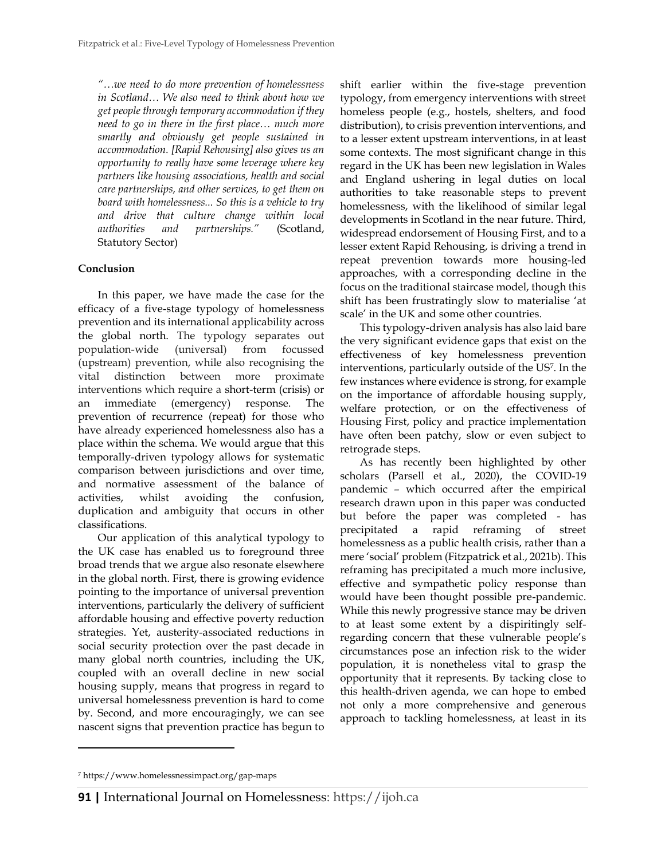*"…we need to do more prevention of homelessness in Scotland… We also need to think about how we get people through temporary accommodation if they need to go in there in the first place… much more smartly and obviously get people sustained in accommodation. [Rapid Rehousing] also gives us an opportunity to really have some leverage where key partners like housing associations, health and social care partnerships, and other services, to get them on board with homelessness... So this is a vehicle to try and drive that culture change within local authorities and partnerships."* (Scotland, Statutory Sector)

### **Conclusion**

In this paper, we have made the case for the efficacy of a five-stage typology of homelessness prevention and its international applicability across the global north. The typology separates out population-wide (universal) from focussed (upstream) prevention, while also recognising the vital distinction between more proximate interventions which require a short-term (crisis) or an immediate (emergency) response. The prevention of recurrence (repeat) for those who have already experienced homelessness also has a place within the schema. We would argue that this temporally-driven typology allows for systematic comparison between jurisdictions and over time, and normative assessment of the balance of activities, whilst avoiding the confusion, duplication and ambiguity that occurs in other classifications.

Our application of this analytical typology to the UK case has enabled us to foreground three broad trends that we argue also resonate elsewhere in the global north. First, there is growing evidence pointing to the importance of universal prevention interventions, particularly the delivery of sufficient affordable housing and effective poverty reduction strategies. Yet, austerity-associated reductions in social security protection over the past decade in many global north countries, including the UK, coupled with an overall decline in new social housing supply, means that progress in regard to universal homelessness prevention is hard to come by. Second, and more encouragingly, we can see nascent signs that prevention practice has begun to

shift earlier within the five-stage prevention typology, from emergency interventions with street homeless people (e.g., hostels, shelters, and food distribution), to crisis prevention interventions, and to a lesser extent upstream interventions, in at least some contexts. The most significant change in this regard in the UK has been new legislation in Wales and England ushering in legal duties on local authorities to take reasonable steps to prevent homelessness, with the likelihood of similar legal developments in Scotland in the near future. Third, widespread endorsement of Housing First, and to a lesser extent Rapid Rehousing, is driving a trend in repeat prevention towards more housing-led approaches, with a corresponding decline in the focus on the traditional staircase model, though this shift has been frustratingly slow to materialise 'at scale' in the UK and some other countries.

This typology-driven analysis has also laid bare the very significant evidence gaps that exist on the effectiveness of key homelessness prevention interventions, particularly outside of the US<sup>7</sup> . In the few instances where evidence is strong, for example on the importance of affordable housing supply, welfare protection, or on the effectiveness of Housing First, policy and practice implementation have often been patchy, slow or even subject to retrograde steps.

As has recently been highlighted by other scholars (Parsell et al., 2020), the COVID-19 pandemic – which occurred after the empirical research drawn upon in this paper was conducted but before the paper was completed - has precipitated a rapid reframing of street homelessness as a public health crisis, rather than a mere 'social' problem (Fitzpatrick et al., 2021b). This reframing has precipitated a much more inclusive, effective and sympathetic policy response than would have been thought possible pre-pandemic. While this newly progressive stance may be driven to at least some extent by a dispiritingly selfregarding concern that these vulnerable people's circumstances pose an infection risk to the wider population, it is nonetheless vital to grasp the opportunity that it represents. By tacking close to this health-driven agenda, we can hope to embed not only a more comprehensive and generous approach to tackling homelessness, at least in its

<sup>7</sup> https://www.homelessnessimpact.org/gap-maps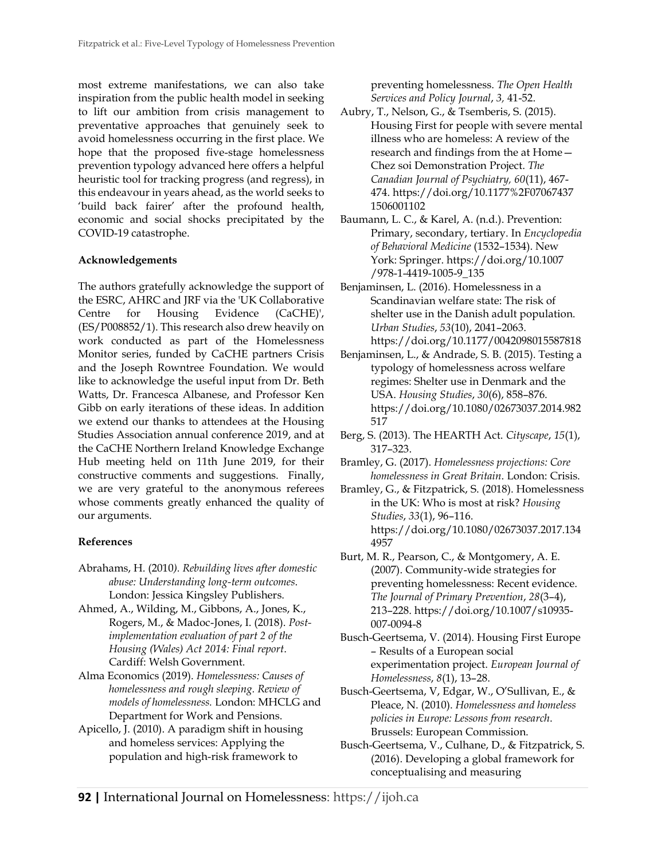most extreme manifestations, we can also take inspiration from the public health model in seeking to lift our ambition from crisis management to preventative approaches that genuinely seek to avoid homelessness occurring in the first place. We hope that the proposed five-stage homelessness prevention typology advanced here offers a helpful heuristic tool for tracking progress (and regress), in this endeavour in years ahead, as the world seeks to 'build back fairer' after the profound health, economic and social shocks precipitated by the COVID-19 catastrophe.

### **Acknowledgements**

The authors gratefully acknowledge the support of the ESRC, AHRC and JRF via the 'UK Collaborative Centre for Housing Evidence (CaCHE)', (ES/P008852/1). This research also drew heavily on work conducted as part of the Homelessness Monitor series, funded by CaCHE partners Crisis and the Joseph Rowntree Foundation. We would like to acknowledge the useful input from Dr. Beth Watts, Dr. Francesca Albanese, and Professor Ken Gibb on early iterations of these ideas. In addition we extend our thanks to attendees at the Housing Studies Association annual conference 2019, and at the CaCHE Northern Ireland Knowledge Exchange Hub meeting held on 11th June 2019, for their constructive comments and suggestions. Finally, we are very grateful to the anonymous referees whose comments greatly enhanced the quality of our arguments.

# **References**

- Abrahams, H. (2010*). Rebuilding lives after domestic abuse: Understanding long-term outcomes*. London: Jessica Kingsley Publishers.
- Ahmed, A., Wilding, M., Gibbons, A., Jones, K., Rogers, M., & Madoc-Jones, I. (2018). *Postimplementation evaluation of part 2 of the Housing (Wales) Act 2014: Final report*. Cardiff: Welsh Government.
- Alma Economics (2019). *Homelessness: Causes of homelessness and rough sleeping. Review of models of homelessness.* London: MHCLG and Department for Work and Pensions.
- Apicello, J. (2010). A paradigm shift in housing and homeless services: Applying the population and high-risk framework to

preventing homelessness. *The Open Health Services and Policy Journal*, *3,* 41-52.

- Aubry, T., Nelson, G., & Tsemberis, S. (2015). Housing First for people with severe mental illness who are homeless: A review of the research and findings from the at Home— Chez soi Demonstration Project. *The Canadian Journal of Psychiatry, 60*(11), 467- 474. https://doi.org/10.1177%2F07067437 1506001102
- Baumann, L. C., & Karel, A. (n.d.). Prevention: Primary, secondary, tertiary. In *Encyclopedia of Behavioral Medicine* (1532–1534). New York: Springer. https://doi.org/10.1007 /978-1-4419-1005-9\_135
- Benjaminsen, L. (2016). Homelessness in a Scandinavian welfare state: The risk of shelter use in the Danish adult population. *Urban Studies*, *53*(10), 2041–2063. <https://doi.org/10.1177/0042098015587818>
- Benjaminsen, L., & Andrade, S. B. (2015). Testing a typology of homelessness across welfare regimes: Shelter use in Denmark and the USA. *Housing Studies*, *30*(6), 858–876. [https://doi.org/10.1080/02673037.2014.982](https://doi.org/10.1080/02673037.2014.982517) [517](https://doi.org/10.1080/02673037.2014.982517)
- Berg, S. (2013). The HEARTH Act. *Cityscape*, *15*(1), 317–323.
- Bramley, G. (2017). *Homelessness projections: Core homelessness in Great Britain*. London: Crisis.
- Bramley, G., & Fitzpatrick, S. (2018). Homelessness in the UK: Who is most at risk? *Housing Studies*, *33*(1), 96–116. [https://doi.org/10.1080/02673037.2017.134](https://doi.org/10.1080/02673037.2017.1344957) [4957](https://doi.org/10.1080/02673037.2017.1344957)
- Burt, M. R., Pearson, C., & Montgomery, A. E. (2007). Community-wide strategies for preventing homelessness: Recent evidence. *The Journal of Primary Prevention*, *28*(3–4), 213–228[. https://doi.org/10.1007/s10935-](https://doi.org/10.1007/s10935-007-0094-8) [007-0094-8](https://doi.org/10.1007/s10935-007-0094-8)
- Busch-Geertsema, V. (2014). Housing First Europe – Results of a European social experimentation project. *European Journal of Homelessness*, *8*(1), 13–28.
- Busch-Geertsema, V, Edgar, W., O'Sullivan, E., & Pleace, N. (2010). *Homelessness and homeless policies in Europe: Lessons from research*. Brussels: European Commission.
- Busch-Geertsema, V., Culhane, D., & Fitzpatrick, S. (2016). Developing a global framework for conceptualising and measuring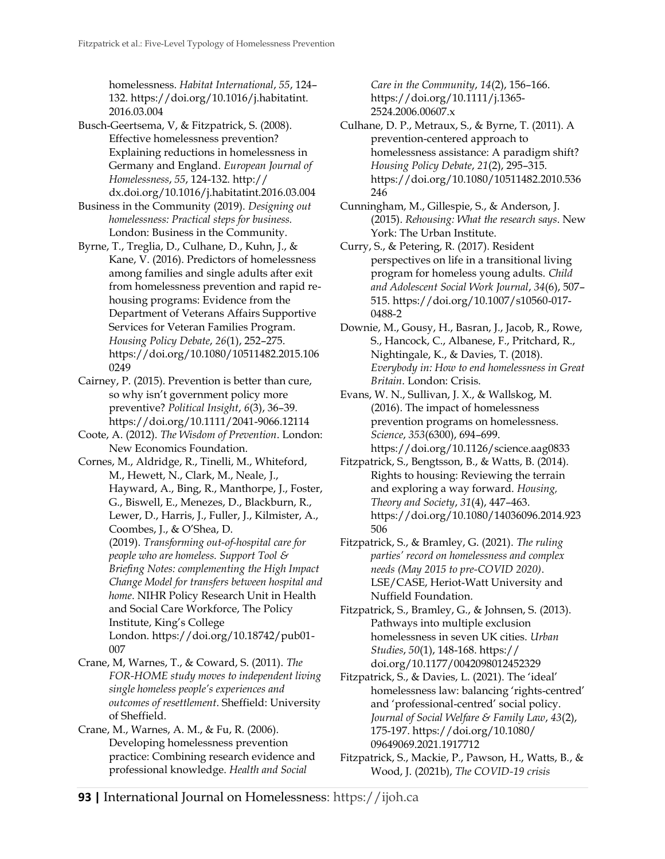homelessness. *Habitat International*, *55*, 124– 132. https://doi.org/10.1016/j.habitatint. 2016.03.004

Busch-Geertsema, V, & Fitzpatrick, S. (2008). Effective homelessness prevention? Explaining reductions in homelessness in Germany and England. *European Journal of Homelessness*, *55*, 124-132. http:// dx.doi.org/10.1016/j.habitatint.2016.03.004

Business in the Community (2019). *Designing out homelessness: Practical steps for business.*  London: Business in the Community.

Byrne, T., Treglia, D., Culhane, D., Kuhn, J., & Kane, V. (2016). Predictors of homelessness among families and single adults after exit from homelessness prevention and rapid rehousing programs: Evidence from the Department of Veterans Affairs Supportive Services for Veteran Families Program. *Housing Policy Debate*, *26*(1), 252–275. https://doi.org[/10.1080/10511482.2015.106](https://doi.org/10.1080/10511482.2015.1060249) [0249](https://doi.org/10.1080/10511482.2015.1060249)

Cairney, P. (2015). Prevention is better than cure, so why isn't government policy more preventive? *Political Insight*, *6*(3), 36–39. <https://doi.org/10.1111/2041-9066.12114>

Coote, A. (2012). *The Wisdom of Prevention*. London: New Economics Foundation.

Cornes, M., Aldridge, R., Tinelli, M., Whiteford, M., Hewett, N., Clark, M., Neale, J., Hayward, A., Bing, R., Manthorpe, J., Foster, G., Biswell, E., Menezes, D., Blackburn, R., Lewer, D., Harris, J., Fuller, J., Kilmister, A., Coombes, J., & O'Shea, D. (2019). *Transforming out-of-hospital care for people who are homeless. Support Tool & Briefing Notes: complementing the High Impact Change Model for transfers between hospital and home*. NIHR Policy Research Unit in Health and Social Care Workforce, The Policy Institute, King's College London. [https://doi.org/10.18742/pub01-](https://doi.org/10.18742/pub01-007) [007](https://doi.org/10.18742/pub01-007)

Crane, M, Warnes, T., & Coward, S. (2011). *The FOR-HOME study moves to independent living single homeless people's experiences and outcomes of resettlement*. Sheffield: University of Sheffield.

Crane, M., Warnes, A. M., & Fu, R. (2006). Developing homelessness prevention practice: Combining research evidence and professional knowledge. *Health and Social* 

*Care in the Community*, *14*(2), 156–166. [https://doi.org/10.1111/j.1365-](https://doi.org/10.1111/j.1365-2524.2006.00607.x) [2524.2006.00607.x](https://doi.org/10.1111/j.1365-2524.2006.00607.x)

Culhane, D. P., Metraux, S., & Byrne, T. (2011). A prevention-centered approach to homelessness assistance: A paradigm shift? *Housing Policy Debate*, *21*(2), 295–315. [https://doi.org/10.1080/10511482.2010.536](https://doi.org/10.1080/10511482.2010.536246) [246](https://doi.org/10.1080/10511482.2010.536246)

Cunningham, M., Gillespie, S., & Anderson, J. (2015). *Rehousing: What the research says*. New York: The Urban Institute.

Curry, S., & Petering, R. (2017). Resident perspectives on life in a transitional living program for homeless young adults. *Child and Adolescent Social Work Journal*, *34*(6), 507– 515. https://doi.org/10.1007/s10560-017- 0488-2

Downie, M., Gousy, H., Basran, J., Jacob, R., Rowe, S., Hancock, C., Albanese, F., Pritchard, R., Nightingale, K., & Davies, T. (2018). *Everybody in: How to end homelessness in Great Britain*. London: Crisis.

Evans, W. N., Sullivan, J. X., & Wallskog, M. (2016). The impact of homelessness prevention programs on homelessness. *Science*, *353*(6300), 694–699. <https://doi.org/10.1126/science.aag0833>

Fitzpatrick, S., Bengtsson, B., & Watts, B. (2014). Rights to housing: Reviewing the terrain and exploring a way forward. *Housing, Theory and Society*, *31*(4), 447–463. [https://doi.org/10.1080/14036096.2014.923](https://doi.org/10.1080/14036096.2014.923506) [506](https://doi.org/10.1080/14036096.2014.923506)

Fitzpatrick, S., & Bramley, G. (2021). *The ruling parties' record on homelessness and complex needs (May 2015 to pre-COVID 2020)*. LSE/CASE, Heriot-Watt University and Nuffield Foundation.

Fitzpatrick, S., Bramley, G., & Johnsen, S. (2013). Pathways into multiple exclusion homelessness in seven UK cities. *Urban Studies*, *50*(1), 148-168. https:// doi.org/10.1177/0042098012452329

Fitzpatrick, S., & Davies, L. (2021). The 'ideal' homelessness law: balancing 'rights-centred' and 'professional-centred' social policy. *Journal of Social Welfare & Family Law*, *43*(2), 175-197. https://doi.org/10.1080/ 09649069.2021.1917712

Fitzpatrick, S., Mackie, P., Pawson, H., Watts, B., & Wood, J. (2021b), *The COVID-19 crisis*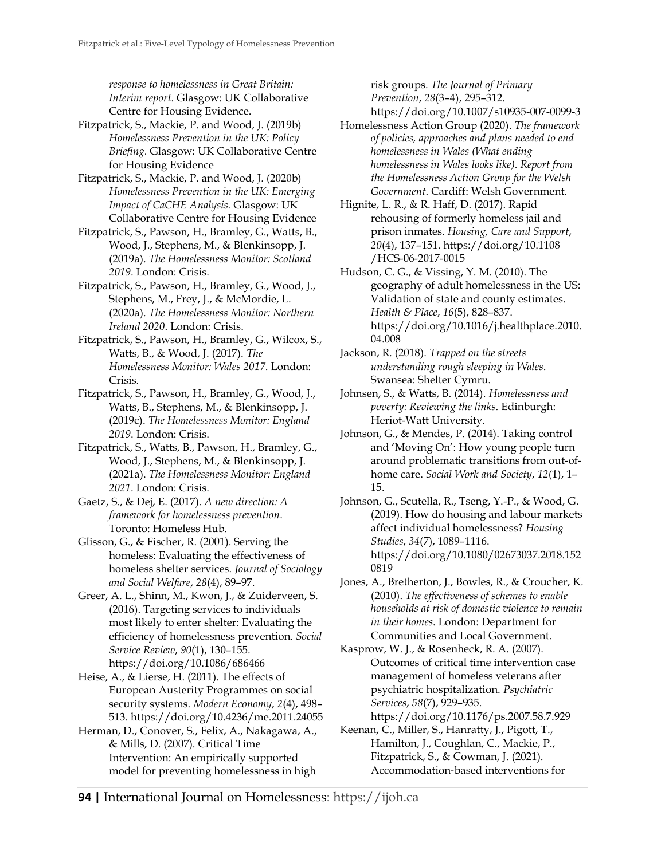*response to homelessness in Great Britain: Interim report*. Glasgow: UK Collaborative Centre for Housing Evidence.

Fitzpatrick, S., Mackie, P. and Wood, J. (2019b) *Homelessness Prevention in the UK: Policy Briefing.* Glasgow: UK Collaborative Centre for Housing Evidence

Fitzpatrick, S., Mackie, P. and Wood, J. (2020b) *Homelessness Prevention in the UK: Emerging Impact of CaCHE Analysis.* Glasgow: UK Collaborative Centre for Housing Evidence

Fitzpatrick, S., Pawson, H., Bramley, G., Watts, B., Wood, J., Stephens, M., & Blenkinsopp, J. (2019a). *The Homelessness Monitor: Scotland 2019*. London: Crisis.

Fitzpatrick, S., Pawson, H., Bramley, G., Wood, J., Stephens, M., Frey, J., & McMordie, L. (2020a). *The Homelessness Monitor: Northern Ireland 2020*. London: Crisis.

Fitzpatrick, S., Pawson, H., Bramley, G., Wilcox, S., Watts, B., & Wood, J. (2017). *The Homelessness Monitor: Wales 2017*. London: Crisis.

Fitzpatrick, S., Pawson, H., Bramley, G., Wood, J., Watts, B., Stephens, M., & Blenkinsopp, J. (2019c). *The Homelessness Monitor: England 2019*. London: Crisis.

Fitzpatrick, S., Watts, B., Pawson, H., Bramley, G., Wood, J., Stephens, M., & Blenkinsopp, J. (2021a). *The Homelessness Monitor: England 2021*. London: Crisis.

Gaetz, S., & Dej, E. (2017). *A new direction: A framework for homelessness prevention*. Toronto: Homeless Hub.

Glisson, G., & Fischer, R. (2001). Serving the homeless: Evaluating the effectiveness of homeless shelter services. *Journal of Sociology and Social Welfare*, *28*(4), 89–97.

Greer, A. L., Shinn, M., Kwon, J., & Zuiderveen, S. (2016). Targeting services to individuals most likely to enter shelter: Evaluating the efficiency of homelessness prevention. *Social Service Review*, *90*(1), 130–155. <https://doi.org/10.1086/686466>

Heise, A., & Lierse, H. (2011). The effects of European Austerity Programmes on social security systems. *Modern Economy*, *2*(4), 498– 513.<https://doi.org/10.4236/me.2011.24055>

Herman, D., Conover, S., Felix, A., Nakagawa, A., & Mills, D. (2007). Critical Time Intervention: An empirically supported model for preventing homelessness in high

risk groups. *The Journal of Primary Prevention*, *28*(3–4), 295–312. <https://doi.org/10.1007/s10935-007-0099-3>

Homelessness Action Group (2020). *The framework of policies, approaches and plans needed to end homelessness in Wales (What ending homelessness in Wales looks like). Report from the Homelessness Action Group for the Welsh Government*. Cardiff: Welsh Government.

Hignite, L. R., & R. Haff, D. (2017). Rapid rehousing of formerly homeless jail and prison inmates. *Housing, Care and Support*, *20*(4), 137–151. https://doi.org/10.1108 /HCS-06-2017-0015

Hudson, C. G., & Vissing, Y. M. (2010). The geography of adult homelessness in the US: Validation of state and county estimates. *Health & Place*, *16*(5), 828–837. [https://doi.org/10.1016/j.healthplace.2010.](https://doi.org/10.1016/j.healthplace.2010.04.008) [04.008](https://doi.org/10.1016/j.healthplace.2010.04.008)

Jackson, R. (2018). *Trapped on the streets understanding rough sleeping in Wales*. Swansea: Shelter Cymru.

Johnsen, S., & Watts, B. (2014). *Homelessness and poverty: Reviewing the links*. Edinburgh: Heriot-Watt University.

Johnson, G., & Mendes, P. (2014). Taking control and 'Moving On': How young people turn around problematic transitions from out-ofhome care. *Social Work and Society*, *12*(1), 1– 15.

Johnson, G., Scutella, R., Tseng, Y.-P., & Wood, G. (2019). How do housing and labour markets affect individual homelessness? *Housing Studies*, *34*(7), 1089–1116. [https://doi.org/10.1080/02673037.2018.152](https://doi.org/10.1080/02673037.2018.1520819) [0819](https://doi.org/10.1080/02673037.2018.1520819)

Jones, A., Bretherton, J., Bowles, R., & Croucher, K. (2010). *The effectiveness of schemes to enable households at risk of domestic violence to remain in their homes*. London: Department for Communities and Local Government.

Kasprow, W. J., & Rosenheck, R. A. (2007). Outcomes of critical time intervention case management of homeless veterans after psychiatric hospitalization. *Psychiatric Services*, *58*(7), 929–935. <https://doi.org/10.1176/ps.2007.58.7.929>

Keenan, C., Miller, S., Hanratty, J., Pigott, T., Hamilton, J., Coughlan, C., Mackie, P., Fitzpatrick, S., & Cowman, J. (2021). Accommodation‐based interventions for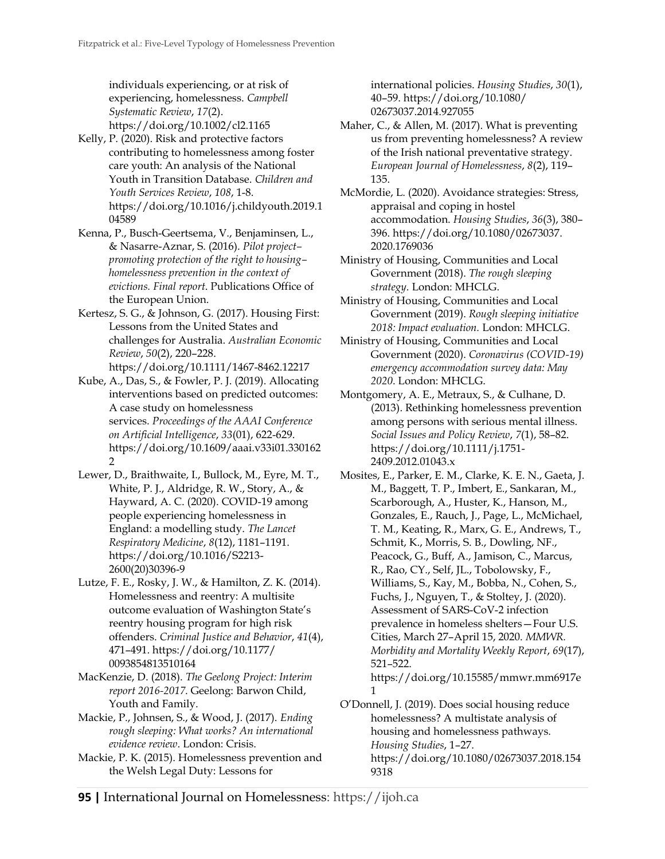individuals experiencing, or at risk of experiencing, homelessness. *Campbell Systematic Review*, *17*(2). https://doi.org/10.1002/cl2.1165

- Kelly, P. (2020). Risk and protective factors contributing to homelessness among foster care youth: An analysis of the National Youth in Transition Database. *Children and Youth Services Review*, *108*, 1-8. [https://doi.org/10.1016/j.childyouth.2019.1](https://doi.org/10.1016/j.childyouth.2019.104589) [04589](https://doi.org/10.1016/j.childyouth.2019.104589)
- Kenna, P., Busch-Geertsema, V., Benjaminsen, L., & Nasarre-Aznar, S. (2016). *Pilot project– promoting protection of the right to housing– homelessness prevention in the context of evictions. Final report*. Publications Office of the European Union.
- Kertesz, S. G., & Johnson, G. (2017). Housing First: Lessons from the United States and challenges for Australia. *Australian Economic Review*, *50*(2), 220–228. <https://doi.org/10.1111/1467-8462.12217>
- Kube, A., Das, S., & Fowler, P. J. (2019). Allocating interventions based on predicted outcomes: A case study on homelessness services. *Proceedings of the AAAI Conference on Artificial Intelligence*, *33*(01), 622-629. https://doi.org/10.1609/aaai.v33i01.330162 2
- Lewer, D., Braithwaite, I., Bullock, M., Eyre, M. T., White, P. J., Aldridge, R. W., Story, A., & Hayward, A. C. (2020). COVID-19 among people experiencing homelessness in England: a modelling study. *The Lancet Respiratory Medicine*, *8*(12), 1181–1191. https://doi.org/10.1016/S2213- 2600(20)30396-9
- Lutze, F. E., Rosky, J. W., & Hamilton, Z. K. (2014). Homelessness and reentry: A multisite outcome evaluation of Washington State's reentry housing program for high risk offenders. *Criminal Justice and Behavior*, *41*(4), 471–491. https://doi.org/10.1177/ 0093854813510164
- MacKenzie, D. (2018). *The Geelong Project: Interim report 2016-2017*. Geelong: Barwon Child, Youth and Family.
- Mackie, P., Johnsen, S., & Wood, J. (2017). *Ending rough sleeping: What works? An international evidence review*. London: Crisis.
- Mackie, P. K. (2015). Homelessness prevention and the Welsh Legal Duty: Lessons for

international policies. *Housing Studies*, *30*(1), 40–59. https://doi.org/10.1080/ 02673037.2014.927055

- Maher, C., & Allen, M. (2017). What is preventing us from preventing homelessness? A review of the Irish national preventative strategy. *European Journal of Homelessness*, *8*(2), 119– 135.
- McMordie, L. (2020). Avoidance strategies: Stress, appraisal and coping in hostel accommodation. *Housing Studies*, *36*(3), 380– 396. https://doi.org/10.1080/02673037. 2020.1769036
- Ministry of Housing, Communities and Local Government (2018). *The rough sleeping strategy*. London: MHCLG.
- Ministry of Housing, Communities and Local Government (2019). *Rough sleeping initiative 2018: Impact evaluation.* London: MHCLG.
- Ministry of Housing, Communities and Local Government (2020). *Coronavirus (COVID-19) emergency accommodation survey data: May 2020*. London: MHCLG.
- Montgomery, A. E., Metraux, S., & Culhane, D. (2013). Rethinking homelessness prevention among persons with serious mental illness. *Social Issues and Policy Review*, *7*(1), 58–82. [https://doi.org/10.1111/j.1751-](https://doi.org/10.1111/j.1751-2409.2012.01043.x) [2409.2012.01043.x](https://doi.org/10.1111/j.1751-2409.2012.01043.x)
- Mosites, E., Parker, E. M., Clarke, K. E. N., Gaeta, J. M., Baggett, T. P., Imbert, E., Sankaran, M., Scarborough, A., Huster, K., Hanson, M., Gonzales, E., Rauch, J., Page, L., McMichael, T. M., Keating, R., Marx, G. E., Andrews, T., Schmit, K., Morris, S. B., Dowling, NF., Peacock, G., Buff, A., Jamison, C., Marcus, R., Rao, CY., Self, JL., Tobolowsky, F., Williams, S., Kay, M., Bobba, N., Cohen, S., Fuchs, J., Nguyen, T., & Stoltey, J. (2020). Assessment of SARS-CoV-2 infection prevalence in homeless shelters—Four U.S. Cities, March 27–April 15, 2020. *MMWR. Morbidity and Mortality Weekly Report*, *69*(17), 521–522. [https://doi.org/10.15585/mmwr.mm6917e](https://doi.org/10.15585/mmwr.mm6917e1)

O'Donnell, J. (2019). Does social housing reduce homelessness? A multistate analysis of housing and homelessness pathways. *Housing Studies*, 1–27. [https://doi.org/10.1080/02673037.2018.154](https://doi.org/10.1080/02673037.2018.1549318) [9318](https://doi.org/10.1080/02673037.2018.1549318)

[1](https://doi.org/10.15585/mmwr.mm6917e1)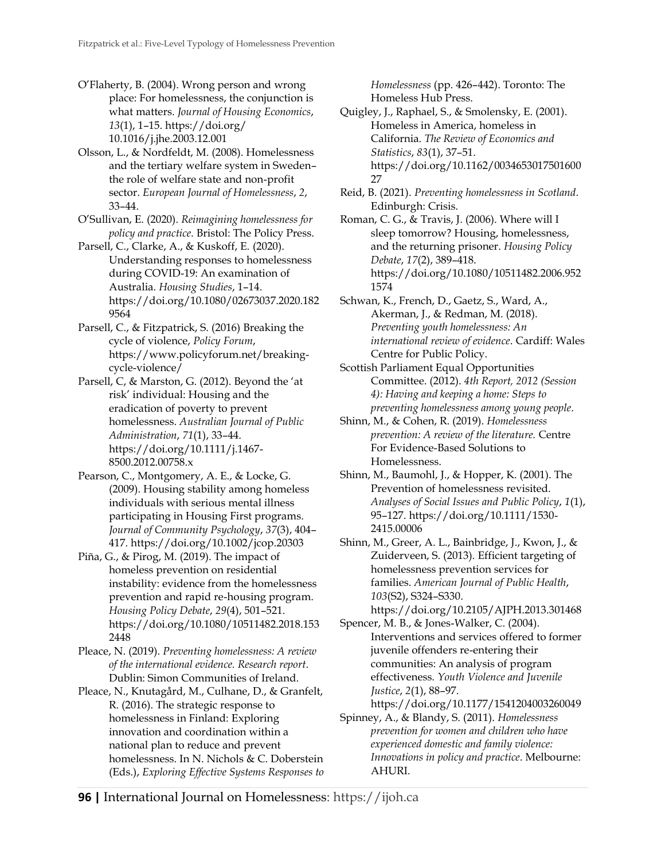O'Flaherty, B. (2004). Wrong person and wrong place: For homelessness, the conjunction is what matters. *Journal of Housing Economics*, *13*(1), 1–15. [https://doi.org/](https://doi.org/10.1016/j.jhe.2003.12.001) [10.1016/j.jhe.2003.12.001](https://doi.org/10.1016/j.jhe.2003.12.001)

Olsson, L., & Nordfeldt, M. (2008). Homelessness and the tertiary welfare system in Sweden– the role of welfare state and non-profit sector. *European Journal of Homelessness*, *2*, 33–44.

O'Sullivan, E. (2020). *Reimagining homelessness for policy and practice*. Bristol: The Policy Press.

Parsell, C., Clarke, A., & Kuskoff, E. (2020). Understanding responses to homelessness during COVID-19: An examination of Australia. *Housing Studies*, 1–14. [https://doi.org/10.1080/02673037.2020.182](https://doi.org/10.1080/02673037.2020.1829564) [9564](https://doi.org/10.1080/02673037.2020.1829564)

Parsell, C., & Fitzpatrick, S. (2016) Breaking the cycle of violence, *Policy Forum*, https://www.policyforum.net/breakingcycle-violence/

Parsell, C, & Marston, G. (2012). Beyond the 'at risk' individual: Housing and the eradication of poverty to prevent homelessness. *Australian Journal of Public Administration*, *71*(1), 33–44. https://doi.org/10.1111/j.1467- 8500.2012.00758.x

Pearson, C., Montgomery, A. E., & Locke, G. (2009). Housing stability among homeless individuals with serious mental illness participating in Housing First programs. *Journal of Community Psychology*, *37*(3), 404– 417.<https://doi.org/10.1002/jcop.20303>

Piña, G., & Pirog, M. (2019). The impact of homeless prevention on residential instability: evidence from the homelessness prevention and rapid re-housing program. *Housing Policy Debate*, *29*(4), 501–521. [https://doi.org/10.1080/10511482.2018.153](https://doi.org/10.1080/10511482.2018.1532448) [2448](https://doi.org/10.1080/10511482.2018.1532448)

Pleace, N. (2019). *Preventing homelessness: A review of the international evidence. Research report*. Dublin: Simon Communities of Ireland.

Pleace, N., Knutagård, M., Culhane, D., & Granfelt, R. (2016). The strategic response to homelessness in Finland: Exploring innovation and coordination within a national plan to reduce and prevent homelessness. In N. Nichols & C. Doberstein (Eds.), *Exploring Effective Systems Responses to* 

*Homelessness* (pp. 426–442). Toronto: The Homeless Hub Press.

Quigley, J., Raphael, S., & Smolensky, E. (2001). Homeless in America, homeless in California. *The Review of Economics and Statistics*, *83*(1), 37–51. https://doi.org/10.1162/0034653017501600 27

Reid, B. (2021). *Preventing homelessness in Scotland*. Edinburgh: Crisis.

Roman, C. G., & Travis, J. (2006). Where will I sleep tomorrow? Housing, homelessness, and the returning prisoner. *Housing Policy Debate*, *17*(2), 389–418. [https://doi.org/10.1080/10511482.2006.952](https://doi.org/10.1080/10511482.2006.9521574) [1574](https://doi.org/10.1080/10511482.2006.9521574)

Schwan, K., French, D., Gaetz, S., Ward, A., Akerman, J., & Redman, M. (2018). *Preventing youth homelessness: An international review of evidence*. Cardiff: Wales Centre for Public Policy.

Scottish Parliament Equal Opportunities Committee. (2012). *4th Report, 2012 (Session 4): Having and keeping a home: Steps to preventing homelessness among young people*.

Shinn, M., & Cohen, R. (2019). *Homelessness prevention: A review of the literature.* Centre For Evidence-Based Solutions to Homelessness.

Shinn, M., Baumohl, J., & Hopper, K. (2001). The Prevention of homelessness revisited. *Analyses of Social Issues and Public Policy*, *1*(1), 95–127[. https://doi.org/10.1111/1530-](https://doi.org/10.1111/1530-2415.00006) [2415.00006](https://doi.org/10.1111/1530-2415.00006)

Shinn, M., Greer, A. L., Bainbridge, J., Kwon, J., & Zuiderveen, S. (2013). Efficient targeting of homelessness prevention services for families. *American Journal of Public Health*, *103*(S2), S324–S330.

<https://doi.org/10.2105/AJPH.2013.301468> Spencer, M. B., & Jones-Walker, C. (2004). Interventions and services offered to former juvenile offenders re-entering their communities: An analysis of program effectiveness. *Youth Violence and Juvenile Justice*, *2*(1), 88–97. <https://doi.org/10.1177/1541204003260049>

Spinney, A., & Blandy, S. (2011). *Homelessness prevention for women and children who have experienced domestic and family violence: Innovations in policy and practice*. Melbourne: AHURI.